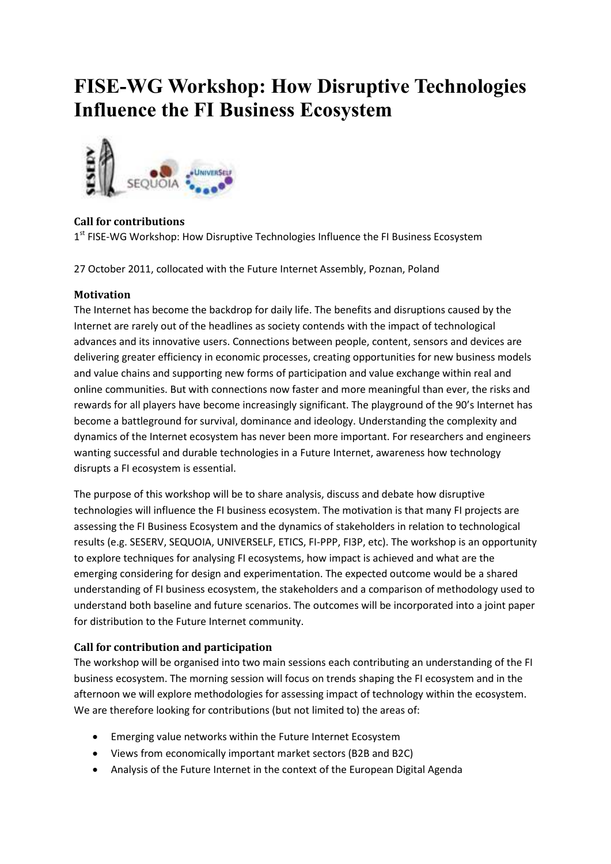# **FISE-WG Workshop: How Disruptive Technologies Influence the FI Business Ecosystem**



## **Call for contributions**

1<sup>st</sup> FISE-WG Workshop: How Disruptive Technologies Influence the FI Business Ecosystem

27 October 2011, collocated with the Future Internet Assembly, Poznan, Poland

## **Motivation**

The Internet has become the backdrop for daily life. The benefits and disruptions caused by the Internet are rarely out of the headlines as society contends with the impact of technological advances and its innovative users. Connections between people, content, sensors and devices are delivering greater efficiency in economic processes, creating opportunities for new business models and value chains and supporting new forms of participation and value exchange within real and online communities. But with connections now faster and more meaningful than ever, the risks and rewards for all players have become increasingly significant. The playground of the 90's Internet has become a battleground for survival, dominance and ideology. Understanding the complexity and dynamics of the Internet ecosystem has never been more important. For researchers and engineers wanting successful and durable technologies in a Future Internet, awareness how technology disrupts a FI ecosystem is essential.

The purpose of this workshop will be to share analysis, discuss and debate how disruptive technologies will influence the FI business ecosystem. The motivation is that many FI projects are assessing the FI Business Ecosystem and the dynamics of stakeholders in relation to technological results (e.g. SESERV, SEQUOIA, UNIVERSELF, ETICS, FI-PPP, FI3P, etc). The workshop is an opportunity to explore techniques for analysing FI ecosystems, how impact is achieved and what are the emerging considering for design and experimentation. The expected outcome would be a shared understanding of FI business ecosystem, the stakeholders and a comparison of methodology used to understand both baseline and future scenarios. The outcomes will be incorporated into a joint paper for distribution to the Future Internet community.

## **Call for contribution and participation**

The workshop will be organised into two main sessions each contributing an understanding of the FI business ecosystem. The morning session will focus on trends shaping the FI ecosystem and in the afternoon we will explore methodologies for assessing impact of technology within the ecosystem. We are therefore looking for contributions (but not limited to) the areas of:

- Emerging value networks within the Future Internet Ecosystem
- Views from economically important market sectors (B2B and B2C)
- Analysis of the Future Internet in the context of the European Digital Agenda